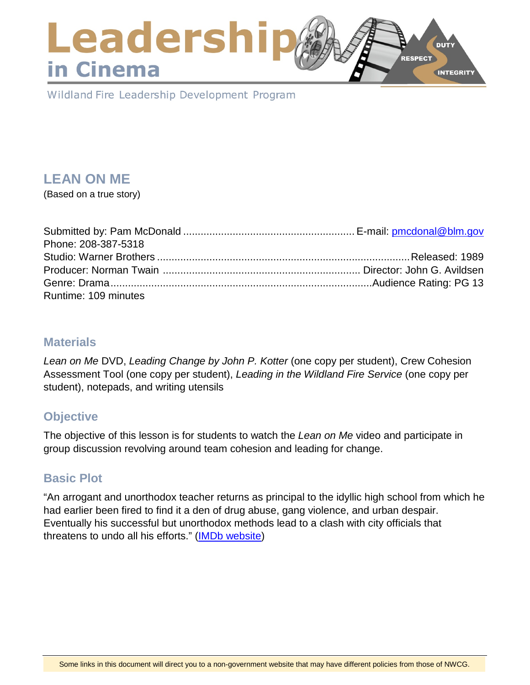### Leadershi **DUTY RESPECT** in Cinema **INTEGRITY**

Wildland Fire Leadership Development Program

# **LEAN ON ME**

(Based on a true story)

| Phone: 208-387-5318  |  |
|----------------------|--|
|                      |  |
|                      |  |
|                      |  |
| Runtime: 109 minutes |  |

### **Materials**

*Lean on Me* DVD, *Leading Change by John P. Kotter* (one copy per student), Crew Cohesion Assessment Tool (one copy per student), *Leading in the Wildland Fire Service* (one copy per student), notepads, and writing utensils

## **Objective**

The objective of this lesson is for students to watch the *Lean on Me* video and participate in group discussion revolving around team cohesion and leading for change.

### **Basic Plot**

"An arrogant and unorthodox teacher returns as principal to the idyllic high school from which he had earlier been fired to find it a den of drug abuse, gang violence, and urban despair. Eventually his successful but unorthodox methods lead to a clash with city officials that threatens to undo all his efforts." [\(IMDb website\)](http://www.imdb.com/title/tt0097722/plotsummary)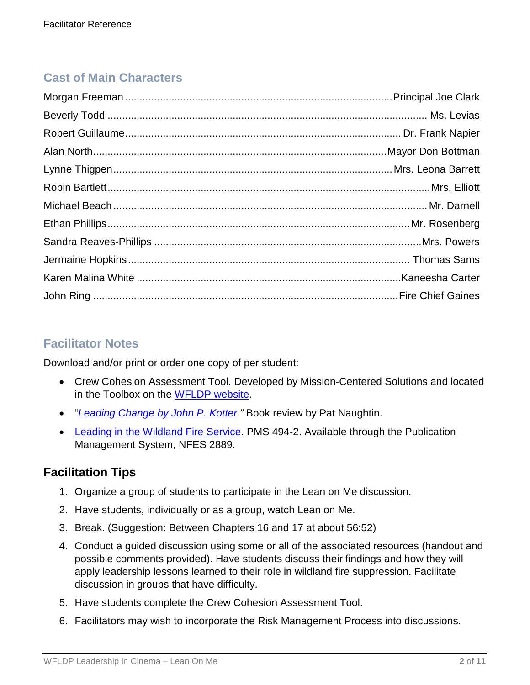## **Cast of Main Characters**

### **Facilitator Notes**

Download and/or print or order one copy of per student:

- Crew Cohesion Assessment Tool. Developed by Mission-Centered Solutions and located in the Toolbox on the [WFLDP website.](https://www.fireleadership.gov/)
- "*[Leading Change by John P. Kotter.](http://www.metricationmatters.com/docs/LeadingChangeKotter.pdf)"* Book review by Pat Naughtin.
- [Leading in the Wildland Fire Service.](https://www.nwcg.gov/sites/default/files/products/pms494-2_0.pdf) PMS 494-2. Available through the Publication Management System, NFES 2889.

### **Facilitation Tips**

- 1. Organize a group of students to participate in the Lean on Me discussion.
- 2. Have students, individually or as a group, watch Lean on Me.
- 3. Break. (Suggestion: Between Chapters 16 and 17 at about 56:52)
- 4. Conduct a guided discussion using some or all of the associated resources (handout and possible comments provided). Have students discuss their findings and how they will apply leadership lessons learned to their role in wildland fire suppression. Facilitate discussion in groups that have difficulty.
- 5. Have students complete the Crew Cohesion Assessment Tool.
- 6. Facilitators may wish to incorporate the Risk Management Process into discussions.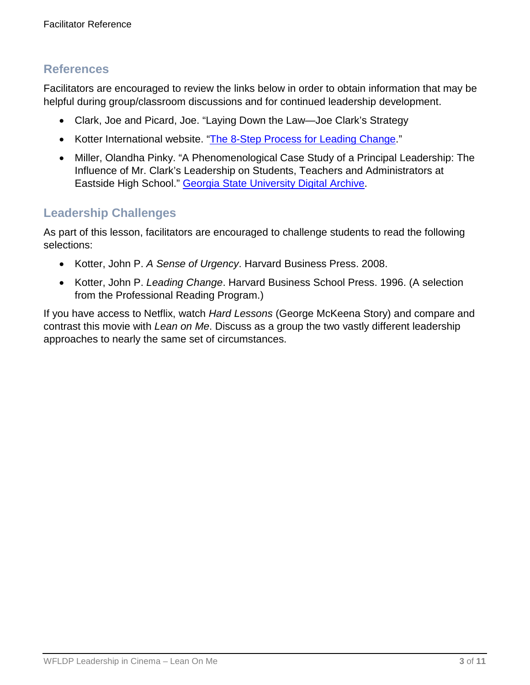### **References**

Facilitators are encouraged to review the links below in order to obtain information that may be helpful during group/classroom discussions and for continued leadership development.

- Clark, Joe and Picard, Joe. "Laying Down the Law—Joe Clark's Strategy
- Kotter International website. ["The 8-Step Process for Leading Change.](https://www.kotterinternational.com/8-steps-process-for-leading-change/)"
- Miller, Olandha Pinky. "A Phenomenological Case Study of a Principal Leadership: The Influence of Mr. Clark's Leadership on Students, Teachers and Administrators at Eastside High School." [Georgia State University Digital Archive.](http://scholarworks.gsu.edu/cgi/viewcontent.cgi?article=1089&context=eps_diss)

### **Leadership Challenges**

As part of this lesson, facilitators are encouraged to challenge students to read the following selections:

- Kotter, John P. *A Sense of Urgency*. Harvard Business Press. 2008.
- Kotter, John P. *Leading Change*. Harvard Business School Press. 1996. (A selection from the Professional Reading Program.)

If you have access to Netflix, watch *Hard Lessons* (George McKeena Story) and compare and contrast this movie with *Lean on Me*. Discuss as a group the two vastly different leadership approaches to nearly the same set of circumstances.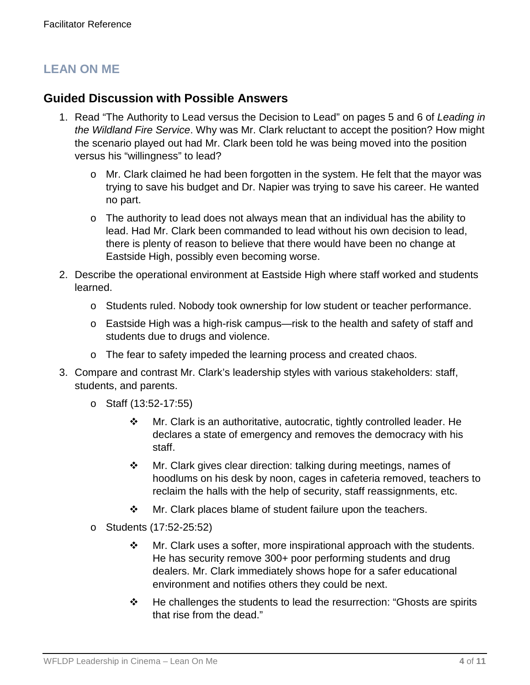## **LEAN ON ME**

### **Guided Discussion with Possible Answers**

- 1. Read "The Authority to Lead versus the Decision to Lead" on pages 5 and 6 of *Leading in the Wildland Fire Service*. Why was Mr. Clark reluctant to accept the position? How might the scenario played out had Mr. Clark been told he was being moved into the position versus his "willingness" to lead?
	- o Mr. Clark claimed he had been forgotten in the system. He felt that the mayor was trying to save his budget and Dr. Napier was trying to save his career. He wanted no part.
	- $\circ$  The authority to lead does not always mean that an individual has the ability to lead. Had Mr. Clark been commanded to lead without his own decision to lead, there is plenty of reason to believe that there would have been no change at Eastside High, possibly even becoming worse.
- 2. Describe the operational environment at Eastside High where staff worked and students learned.
	- o Students ruled. Nobody took ownership for low student or teacher performance.
	- o Eastside High was a high-risk campus—risk to the health and safety of staff and students due to drugs and violence.
	- o The fear to safety impeded the learning process and created chaos.
- 3. Compare and contrast Mr. Clark's leadership styles with various stakeholders: staff, students, and parents.
	- o Staff (13:52-17:55)
		- Mr. Clark is an authoritative, autocratic, tightly controlled leader. He declares a state of emergency and removes the democracy with his staff.
		- Mr. Clark gives clear direction: talking during meetings, names of hoodlums on his desk by noon, cages in cafeteria removed, teachers to reclaim the halls with the help of security, staff reassignments, etc.
		- ❖ Mr. Clark places blame of student failure upon the teachers.
	- o Students (17:52-25:52)
		- $\cdot \cdot$  Mr. Clark uses a softer, more inspirational approach with the students. He has security remove 300+ poor performing students and drug dealers. Mr. Clark immediately shows hope for a safer educational environment and notifies others they could be next.
		- $\cdot \cdot$  He challenges the students to lead the resurrection: "Ghosts are spirits that rise from the dead."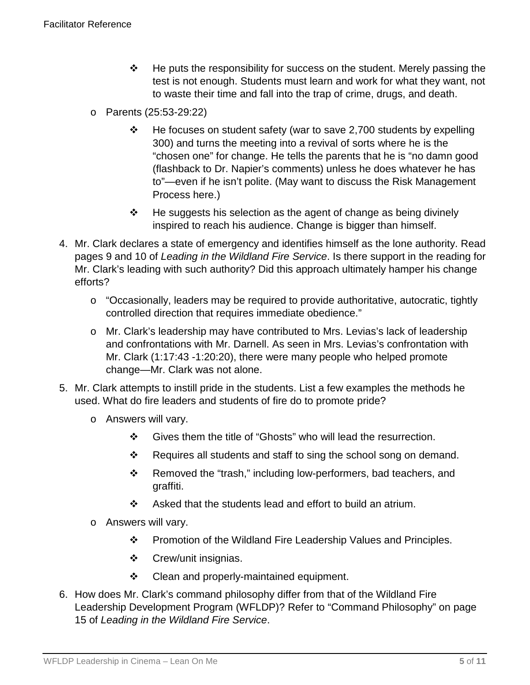- $\cdot \cdot$  He puts the responsibility for success on the student. Merely passing the test is not enough. Students must learn and work for what they want, not to waste their time and fall into the trap of crime, drugs, and death.
- o Parents (25:53-29:22)
	- $\cdot \cdot$  He focuses on student safety (war to save 2,700 students by expelling 300) and turns the meeting into a revival of sorts where he is the "chosen one" for change. He tells the parents that he is "no damn good (flashback to Dr. Napier's comments) unless he does whatever he has to"—even if he isn't polite. (May want to discuss the Risk Management Process here.)
	- $\div$  He suggests his selection as the agent of change as being divinely inspired to reach his audience. Change is bigger than himself.
- 4. Mr. Clark declares a state of emergency and identifies himself as the lone authority. Read pages 9 and 10 of *Leading in the Wildland Fire Service*. Is there support in the reading for Mr. Clark's leading with such authority? Did this approach ultimately hamper his change efforts?
	- o "Occasionally, leaders may be required to provide authoritative, autocratic, tightly controlled direction that requires immediate obedience."
	- o Mr. Clark's leadership may have contributed to Mrs. Levias's lack of leadership and confrontations with Mr. Darnell. As seen in Mrs. Levias's confrontation with Mr. Clark (1:17:43 -1:20:20), there were many people who helped promote change—Mr. Clark was not alone.
- 5. Mr. Clark attempts to instill pride in the students. List a few examples the methods he used. What do fire leaders and students of fire do to promote pride?
	- o Answers will vary.
		- Gives them the title of "Ghosts" who will lead the resurrection.
		- Requires all students and staff to sing the school song on demand.
		- \* Removed the "trash," including low-performers, bad teachers, and graffiti.
		- $\div$  Asked that the students lead and effort to build an atrium.
	- o Answers will vary.
		- Promotion of the Wildland Fire Leadership Values and Principles.
		- Crew/unit insignias.
		- ❖ Clean and properly-maintained equipment.
- 6. How does Mr. Clark's command philosophy differ from that of the Wildland Fire Leadership Development Program (WFLDP)? Refer to "Command Philosophy" on page 15 of *Leading in the Wildland Fire Service*.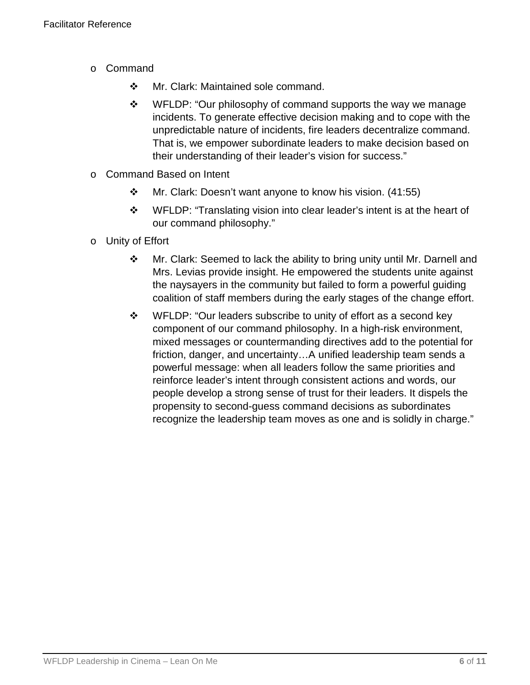- o Command
	- ◆ Mr. Clark: Maintained sole command.
	- ❖ WFLDP: "Our philosophy of command supports the way we manage incidents. To generate effective decision making and to cope with the unpredictable nature of incidents, fire leaders decentralize command. That is, we empower subordinate leaders to make decision based on their understanding of their leader's vision for success."
- o Command Based on Intent
	- Mr. Clark: Doesn't want anyone to know his vision. (41:55)
	- WFLDP: "Translating vision into clear leader's intent is at the heart of our command philosophy."
- o Unity of Effort
	- Mr. Clark: Seemed to lack the ability to bring unity until Mr. Darnell and Mrs. Levias provide insight. He empowered the students unite against the naysayers in the community but failed to form a powerful guiding coalition of staff members during the early stages of the change effort.
	- WFLDP: "Our leaders subscribe to unity of effort as a second key component of our command philosophy. In a high-risk environment, mixed messages or countermanding directives add to the potential for friction, danger, and uncertainty…A unified leadership team sends a powerful message: when all leaders follow the same priorities and reinforce leader's intent through consistent actions and words, our people develop a strong sense of trust for their leaders. It dispels the propensity to second-guess command decisions as subordinates recognize the leadership team moves as one and is solidly in charge."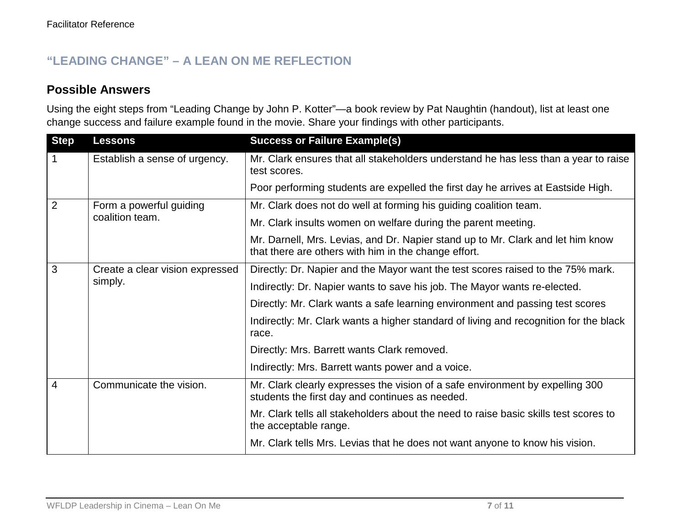## **"LEADING CHANGE" – A LEAN ON ME REFLECTION**

### **Possible Answers**

Using the eight steps from "Leading Change by John P. Kotter"—a book review by Pat Naughtin (handout), list at least one change success and failure example found in the movie. Share your findings with other participants.

| <b>Step</b>    | <b>Lessons</b>                             | <b>Success or Failure Example(s)</b>                                                                                                    |
|----------------|--------------------------------------------|-----------------------------------------------------------------------------------------------------------------------------------------|
|                | Establish a sense of urgency.              | Mr. Clark ensures that all stakeholders understand he has less than a year to raise<br>test scores.                                     |
|                |                                            | Poor performing students are expelled the first day he arrives at Eastside High.                                                        |
| $\overline{2}$ | Form a powerful guiding<br>coalition team. | Mr. Clark does not do well at forming his guiding coalition team.                                                                       |
|                |                                            | Mr. Clark insults women on welfare during the parent meeting.                                                                           |
|                |                                            | Mr. Darnell, Mrs. Levias, and Dr. Napier stand up to Mr. Clark and let him know<br>that there are others with him in the change effort. |
| 3              | Create a clear vision expressed<br>simply. | Directly: Dr. Napier and the Mayor want the test scores raised to the 75% mark.                                                         |
|                |                                            | Indirectly: Dr. Napier wants to save his job. The Mayor wants re-elected.                                                               |
|                |                                            | Directly: Mr. Clark wants a safe learning environment and passing test scores                                                           |
|                |                                            | Indirectly: Mr. Clark wants a higher standard of living and recognition for the black<br>race.                                          |
|                |                                            | Directly: Mrs. Barrett wants Clark removed.                                                                                             |
|                |                                            | Indirectly: Mrs. Barrett wants power and a voice.                                                                                       |
| 4              | Communicate the vision.                    | Mr. Clark clearly expresses the vision of a safe environment by expelling 300<br>students the first day and continues as needed.        |
|                |                                            | Mr. Clark tells all stakeholders about the need to raise basic skills test scores to<br>the acceptable range.                           |
|                |                                            | Mr. Clark tells Mrs. Levias that he does not want anyone to know his vision.                                                            |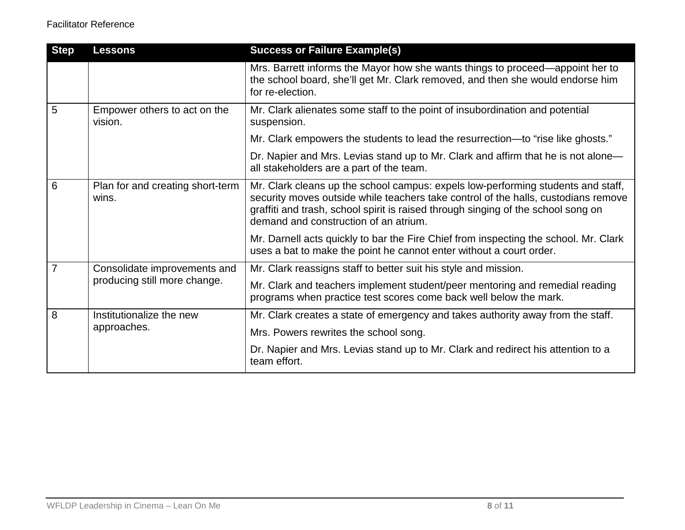| <b>Step</b> | <b>Lessons</b>                                               | <b>Success or Failure Example(s)</b>                                                                                                                                                                                                                                                                 |
|-------------|--------------------------------------------------------------|------------------------------------------------------------------------------------------------------------------------------------------------------------------------------------------------------------------------------------------------------------------------------------------------------|
|             |                                                              | Mrs. Barrett informs the Mayor how she wants things to proceed—appoint her to<br>the school board, she'll get Mr. Clark removed, and then she would endorse him<br>for re-election.                                                                                                                  |
| 5           | Empower others to act on the<br>vision.                      | Mr. Clark alienates some staff to the point of insubordination and potential<br>suspension.                                                                                                                                                                                                          |
|             |                                                              | Mr. Clark empowers the students to lead the resurrection—to "rise like ghosts."                                                                                                                                                                                                                      |
|             |                                                              | Dr. Napier and Mrs. Levias stand up to Mr. Clark and affirm that he is not alone—<br>all stakeholders are a part of the team.                                                                                                                                                                        |
| 6           | Plan for and creating short-term<br>wins.                    | Mr. Clark cleans up the school campus: expels low-performing students and staff,<br>security moves outside while teachers take control of the halls, custodians remove<br>graffiti and trash, school spirit is raised through singing of the school song on<br>demand and construction of an atrium. |
|             |                                                              | Mr. Darnell acts quickly to bar the Fire Chief from inspecting the school. Mr. Clark<br>uses a bat to make the point he cannot enter without a court order.                                                                                                                                          |
| 7           | Consolidate improvements and<br>producing still more change. | Mr. Clark reassigns staff to better suit his style and mission.                                                                                                                                                                                                                                      |
|             |                                                              | Mr. Clark and teachers implement student/peer mentoring and remedial reading<br>programs when practice test scores come back well below the mark.                                                                                                                                                    |
| 8           | Institutionalize the new<br>approaches.                      | Mr. Clark creates a state of emergency and takes authority away from the staff.                                                                                                                                                                                                                      |
|             |                                                              | Mrs. Powers rewrites the school song.                                                                                                                                                                                                                                                                |
|             |                                                              | Dr. Napier and Mrs. Levias stand up to Mr. Clark and redirect his attention to a<br>team effort.                                                                                                                                                                                                     |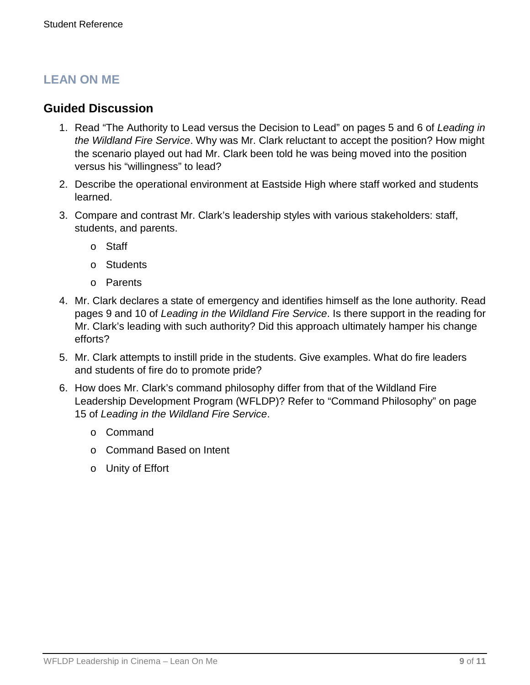## **LEAN ON ME**

### **Guided Discussion**

- 1. Read "The Authority to Lead versus the Decision to Lead" on pages 5 and 6 of *Leading in the Wildland Fire Service*. Why was Mr. Clark reluctant to accept the position? How might the scenario played out had Mr. Clark been told he was being moved into the position versus his "willingness" to lead?
- 2. Describe the operational environment at Eastside High where staff worked and students learned.
- 3. Compare and contrast Mr. Clark's leadership styles with various stakeholders: staff, students, and parents.
	- o Staff
	- o Students
	- o Parents
- 4. Mr. Clark declares a state of emergency and identifies himself as the lone authority. Read pages 9 and 10 of *Leading in the Wildland Fire Service*. Is there support in the reading for Mr. Clark's leading with such authority? Did this approach ultimately hamper his change efforts?
- 5. Mr. Clark attempts to instill pride in the students. Give examples. What do fire leaders and students of fire do to promote pride?
- 6. How does Mr. Clark's command philosophy differ from that of the Wildland Fire Leadership Development Program (WFLDP)? Refer to "Command Philosophy" on page 15 of *Leading in the Wildland Fire Service*.
	- o Command
	- o Command Based on Intent
	- o Unity of Effort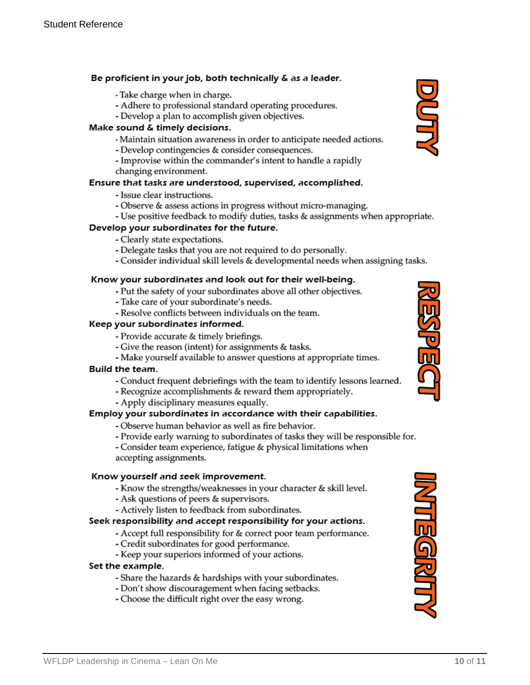#### Be proficient in your job, both technically & as a leader.

- Take charge when in charge.
- Adhere to professional standard operating procedures.
- Develop a plan to accomplish given objectives.

#### Make sound & timely decisions.

- Maintain situation awareness in order to anticipate needed actions.
- Develop contingencies & consider consequences.
- Improvise within the commander's intent to handle a rapidly changing environment.

#### Ensure that tasks are understood, supervised, accomplished.

- Issue clear instructions.
- Observe & assess actions in progress without micro-managing.
- Use positive feedback to modify duties, tasks & assignments when appropriate.

#### Develop your subordinates for the future.

- Clearly state expectations.
- Delegate tasks that you are not required to do personally.
- Consider individual skill levels & developmental needs when assigning tasks.

#### Know your subordinates and look out for their well-being.

- Put the safety of your subordinates above all other objectives.
- Take care of your subordinate's needs.
- Resolve conflicts between individuals on the team.

#### Keep your subordinates informed.

- Provide accurate & timely briefings.
- Give the reason (intent) for assignments & tasks.
- Make yourself available to answer questions at appropriate times.

#### **Build the team.**

- Conduct frequent debriefings with the team to identify lessons learned.
- Recognize accomplishments & reward them appropriately.
- Apply disciplinary measures equally.

#### Employ your subordinates in accordance with their capabilities.

- Observe human behavior as well as fire behavior.
- Provide early warning to subordinates of tasks they will be responsible for.
- Consider team experience, fatigue & physical limitations when accepting assignments.

#### Know yourself and seek improvement.

- Know the strengths/weaknesses in your character & skill level.
- Ask questions of peers & supervisors.
- Actively listen to feedback from subordinates.

#### Seek responsibility and accept responsibility for your actions.

- Accept full responsibility for & correct poor team performance.
- Credit subordinates for good performance.
- Keep your superiors informed of your actions.

#### Set the example.

- Share the hazards & hardships with your subordinates.
- Don't show discouragement when facing setbacks.
- Choose the difficult right over the easy wrong.